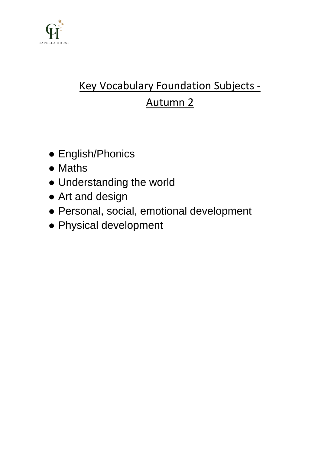

# Key Vocabulary Foundation Subjects - Autumn 2

- English/Phonics
- Maths
- Understanding the world
- Art and design
- Personal, social, emotional development
- Physical development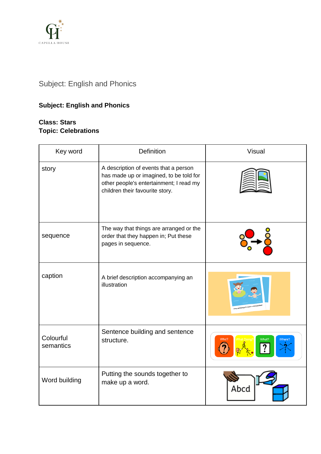

# Subject: English and Phonics

# **Subject: English and Phonics**

### **Class: Stars Topic: Celebrations**

| Key word               | <b>Definition</b>                                                                                                                                              | <b>Visual</b>                               |
|------------------------|----------------------------------------------------------------------------------------------------------------------------------------------------------------|---------------------------------------------|
| story                  | A description of events that a person<br>has made up or imagined, to be told for<br>other people's entertainment; I read my<br>children their favourite story. |                                             |
| sequence               | The way that things are arranged or the<br>order that they happen in; Put these<br>pages in sequence.                                                          |                                             |
| caption                | A brief description accompanying an<br>illustration                                                                                                            | and Danieli ga for a splath at Whitesand By |
| Colourful<br>semantics | Sentence building and sentence<br>structure.                                                                                                                   | What?                                       |
| Word building          | Putting the sounds together to<br>make up a word.                                                                                                              | Abcd                                        |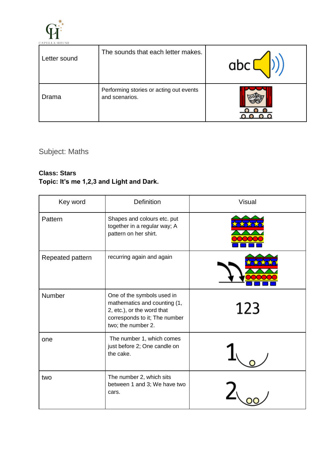

| Letter sound | The sounds that each letter makes.                        |  |
|--------------|-----------------------------------------------------------|--|
| Drama        | Performing stories or acting out events<br>and scenarios. |  |

Subject: Maths

## **Class: Stars Topic: It's me 1,2,3 and Light and Dark.**

| Key word         | <b>Definition</b>                                                                                                                               | <b>Visual</b> |
|------------------|-------------------------------------------------------------------------------------------------------------------------------------------------|---------------|
| Pattern          | Shapes and colours etc. put<br>together in a regular way; A<br>pattern on her shirt.                                                            |               |
| Repeated pattern | recurring again and again                                                                                                                       |               |
| Number           | One of the symbols used in<br>mathematics and counting (1,<br>2, etc.), or the word that<br>corresponds to it; The number<br>two; the number 2. | 123           |
| one              | The number 1, which comes<br>just before 2; One candle on<br>the cake.                                                                          |               |
| two              | The number 2, which sits<br>between 1 and 3; We have two<br>cars.                                                                               |               |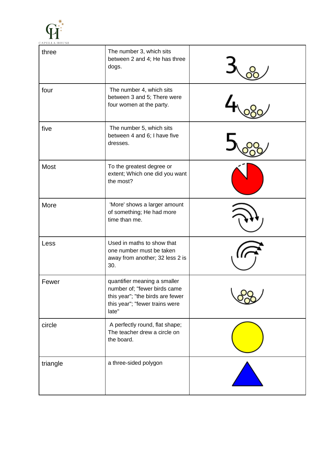

| three    | The number 3, which sits<br>between 2 and 4; He has three<br>dogs.                                                                          |  |
|----------|---------------------------------------------------------------------------------------------------------------------------------------------|--|
| four     | The number 4, which sits<br>between 3 and 5; There were<br>four women at the party.                                                         |  |
| five     | The number 5, which sits<br>between 4 and 6; I have five<br>dresses.                                                                        |  |
| Most     | To the greatest degree or<br>extent; Which one did you want<br>the most?                                                                    |  |
| More     | 'More' shows a larger amount<br>of something; He had more<br>time than me.                                                                  |  |
| Less     | Used in maths to show that<br>one number must be taken<br>away from another; 32 less 2 is<br>30.                                            |  |
| Fewer    | quantifier meaning a smaller<br>number of; "fewer birds came<br>this year"; "the birds are fewer<br>this year"; "fewer trains were<br>late" |  |
| circle   | A perfectly round, flat shape;<br>The teacher drew a circle on<br>the board.                                                                |  |
| triangle | a three-sided polygon                                                                                                                       |  |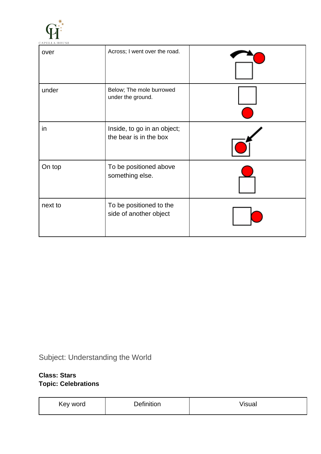

| over    | Across; I went over the road.                         |  |
|---------|-------------------------------------------------------|--|
| under   | Below; The mole burrowed<br>under the ground.         |  |
| in      | Inside, to go in an object;<br>the bear is in the box |  |
| On top  | To be positioned above<br>something else.             |  |
| next to | To be positioned to the<br>side of another object     |  |

Subject: Understanding the World

## **Class: Stars Topic: Celebrations**

| Key word | $\cdots$<br>-<br><b>Definition</b> | <br>$\cdots$<br>15uai |
|----------|------------------------------------|-----------------------|
|          |                                    |                       |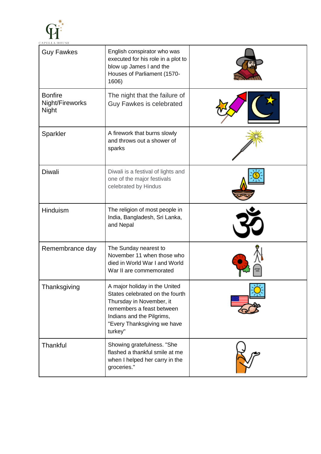

| <b>Guy Fawkes</b>                                 | English conspirator who was<br>executed for his role in a plot to<br>blow up James I and the<br>Houses of Parliament (1570-<br>1606)                                                             |  |
|---------------------------------------------------|--------------------------------------------------------------------------------------------------------------------------------------------------------------------------------------------------|--|
| <b>Bonfire</b><br>Night/Fireworks<br><b>Night</b> | The night that the failure of<br>Guy Fawkes is celebrated                                                                                                                                        |  |
| Sparkler                                          | A firework that burns slowly<br>and throws out a shower of<br>sparks                                                                                                                             |  |
| <b>Diwali</b>                                     | Diwali is a festival of lights and<br>one of the major festivals<br>celebrated by Hindus                                                                                                         |  |
| Hinduism                                          | The religion of most people in<br>India, Bangladesh, Sri Lanka,<br>and Nepal                                                                                                                     |  |
| Remembrance day                                   | The Sunday nearest to<br>November 11 when those who<br>died in World War I and World<br>War II are commemorated                                                                                  |  |
| Thanksgiving                                      | A major holiday in the United<br>States celebrated on the fourth<br>Thursday in November, it<br>remembers a feast between<br>Indians and the Pilgrims,<br>"Every Thanksgiving we have<br>turkey" |  |
| Thankful                                          | Showing gratefulness. "She<br>flashed a thankful smile at me<br>when I helped her carry in the<br>groceries."                                                                                    |  |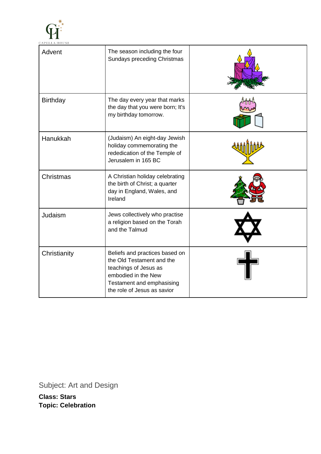

| Advent          | The season including the four<br>Sundays preceding Christmas                                                                                                            |  |
|-----------------|-------------------------------------------------------------------------------------------------------------------------------------------------------------------------|--|
| <b>Birthday</b> | The day every year that marks<br>the day that you were born; It's<br>my birthday tomorrow.                                                                              |  |
| Hanukkah        | (Judaism) An eight-day Jewish<br>holiday commemorating the<br>rededication of the Temple of<br>Jerusalem in 165 BC                                                      |  |
| Christmas       | A Christian holiday celebrating<br>the birth of Christ; a quarter<br>day in England, Wales, and<br>Ireland                                                              |  |
| Judaism         | Jews collectively who practise<br>a religion based on the Torah<br>and the Talmud                                                                                       |  |
| Christianity    | Beliefs and practices based on<br>the Old Testament and the<br>teachings of Jesus as<br>embodied in the New<br>Testament and emphasising<br>the role of Jesus as savior |  |

Subject: Art and Design

**Class: Stars Topic: Celebration**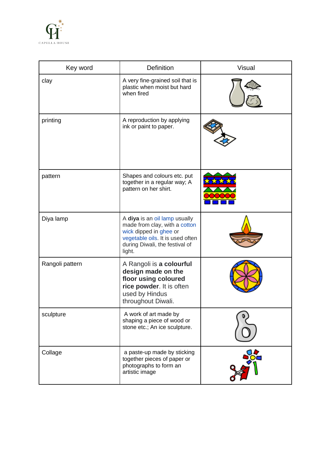

| Key word        | <b>Definition</b>                                                                                                                                                        | <b>Visual</b> |
|-----------------|--------------------------------------------------------------------------------------------------------------------------------------------------------------------------|---------------|
| clay            | A very fine-grained soil that is<br>plastic when moist but hard<br>when fired                                                                                            |               |
| printing        | A reproduction by applying<br>ink or paint to paper.                                                                                                                     |               |
| pattern         | Shapes and colours etc. put<br>together in a regular way; A<br>pattern on her shirt.                                                                                     |               |
| Diya lamp       | A diya is an oil lamp usually<br>made from clay, with a cotton<br>wick dipped in ghee or<br>vegetable oils. It is used often<br>during Diwali, the festival of<br>light. |               |
| Rangoli pattern | A Rangoli is a colourful<br>design made on the<br>floor using coloured<br>rice powder. It is often<br>used by Hindus<br>throughout Diwali.                               |               |
| sculpture       | A work of art made by<br>shaping a piece of wood or<br>stone etc.; An ice sculpture.                                                                                     |               |
| Collage         | a paste-up made by sticking<br>together pieces of paper or<br>photographs to form an<br>artistic image                                                                   |               |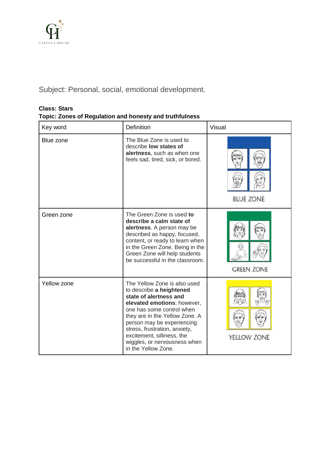

Subject: Personal, social, emotional development.

#### **Class: Stars**

#### **Topic: Zones of Regulation and honesty and truthfulness**

| Key word           | <b>Definition</b>                                                                                                                                                                                                                                                                                                                    | <b>Visual</b>     |
|--------------------|--------------------------------------------------------------------------------------------------------------------------------------------------------------------------------------------------------------------------------------------------------------------------------------------------------------------------------------|-------------------|
| Blue zone          | The Blue Zone is used to<br>describe low states of<br>alertness, such as when one<br>feels sad, tired, sick, or bored.                                                                                                                                                                                                               | <b>BLUE ZONE</b>  |
| Green zone         | The Green Zone is used to<br>describe a calm state of<br>alertness. A person may be<br>described as happy, focused,<br>content, or ready to learn when<br>in the Green Zone. Being in the<br>Green Zone will help students<br>be successful in the classroom.                                                                        | <b>GREEN ZONE</b> |
| <b>Yellow zone</b> | The Yellow Zone is also used<br>to describe a heightened<br>state of alertness and<br>elevated emotions; however,<br>one has some control when<br>they are in the Yellow Zone. A<br>person may be experiencing<br>stress, frustration, anxiety,<br>excitement, silliness, the<br>wiggles, or nervousness when<br>in the Yellow Zone. | YELLOW ZONE       |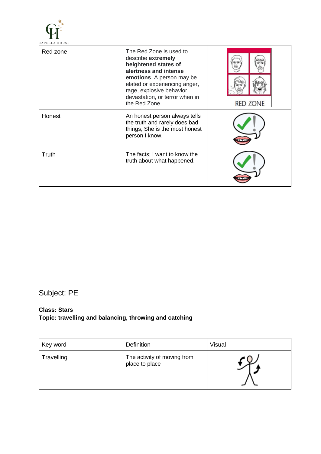

| Red zone | The Red Zone is used to<br>describe extremely<br>heightened states of<br>alertness and intense<br><b>emotions.</b> A person may be<br>elated or experiencing anger,<br>rage, explosive behavior,<br>devastation, or terror when in<br>the Red Zone. | <b>RED ZONE</b> |
|----------|-----------------------------------------------------------------------------------------------------------------------------------------------------------------------------------------------------------------------------------------------------|-----------------|
| Honest   | An honest person always tells<br>the truth and rarely does bad<br>things; She is the most honest<br>person I know.                                                                                                                                  |                 |
| Truth    | The facts; I want to know the<br>truth about what happened.                                                                                                                                                                                         |                 |

## Subject: PE

#### **Class: Stars Topic: travelling and balancing, throwing and catching**

| Key word   | <b>Definition</b>                             | Visual |
|------------|-----------------------------------------------|--------|
| Travelling | The activity of moving from<br>place to place |        |